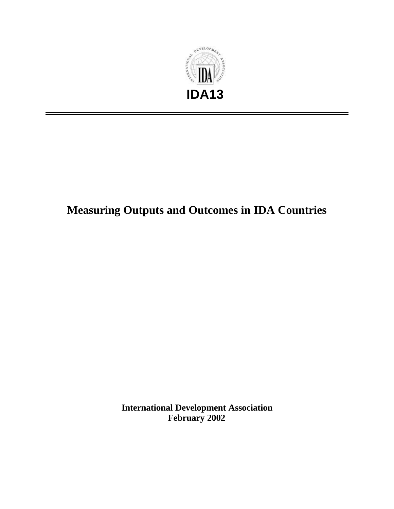

# **Measuring Outputs and Outcomes in IDA Countries**

**International Development Association February 2002**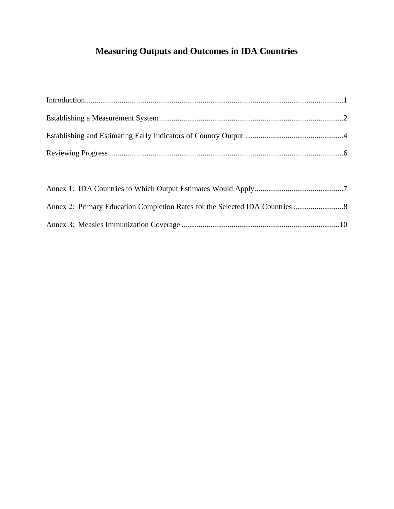## **Measuring Outputs and Outcomes in IDA Countries**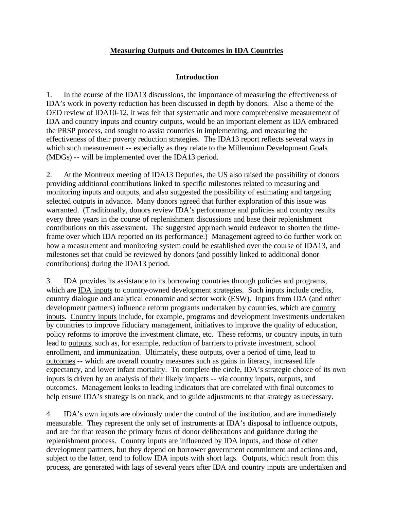#### **Measuring Outputs and Outcomes in IDA Countries**

#### **Introduction**

1. In the course of the IDA13 discussions, the importance of measuring the effectiveness of IDA's work in poverty reduction has been discussed in depth by donors. Also a theme of the OED review of IDA10-12, it was felt that systematic and more comprehensive measurement of IDA and country inputs and country outputs, would be an important element as IDA embraced the PRSP process, and sought to assist countries in implementing, and measuring the effectiveness of their poverty reduction strategies. The IDA13 report reflects several ways in which such measurement -- especially as they relate to the Millennium Development Goals (MDGs) -- will be implemented over the IDA13 period.

2. At the Montreux meeting of IDA13 Deputies, the US also raised the possibility of donors providing additional contributions linked to specific milestones related to measuring and monitoring inputs and outputs, and also suggested the possibility of estimating and targeting selected outputs in advance. Many donors agreed that further exploration of this issue was warranted. (Traditionally, donors review IDA's performance and policies and country results every three years in the course of replenishment discussions and base their replenishment contributions on this assessment. The suggested approach would endeavor to shorten the timeframe over which IDA reported on its performance.) Management agreed to do further work on how a measurement and monitoring system could be established over the course of IDA13, and milestones set that could be reviewed by donors (and possibly linked to additional donor contributions) during the IDA13 period.

3. IDA provides its assistance to its borrowing countries through policies and programs, which are IDA inputs to country-owned development strategies. Such inputs include credits, country dialogue and analytical economic and sector work (ESW). Inputs from IDA (and other development partners) influence reform programs undertaken by countries, which are country inputs. Country inputs include, for example, programs and development investments undertaken by countries to improve fiduciary management, initiatives to improve the quality of education, policy reforms to improve the investment climate, etc. These reforms, or country inputs, in turn lead to outputs, such as, for example, reduction of barriers to private investment, school enrollment, and immunization. Ultimately, these outputs, over a period of time, lead to outcomes -- which are overall country measures such as gains in literacy, increased life expectancy, and lower infant mortality. To complete the circle, IDA's strategic choice of its own inputs is driven by an analysis of their likely impacts -- via country inputs, outputs, and outcomes. Management looks to leading indicators that are correlated with final outcomes to help ensure IDA's strategy is on track, and to guide adjustments to that strategy as necessary.

4. IDA's own inputs are obviously under the control of the institution, and are immediately measurable. They represent the only set of instruments at IDA's disposal to influence outputs, and are for that reason the primary focus of donor deliberations and guidance during the replenishment process. Country inputs are influenced by IDA inputs, and those of other development partners, but they depend on borrower government commitment and actions and, subject to the latter, tend to follow IDA inputs with short lags. Outputs, which result from this process, are generated with lags of several years after IDA and country inputs are undertaken and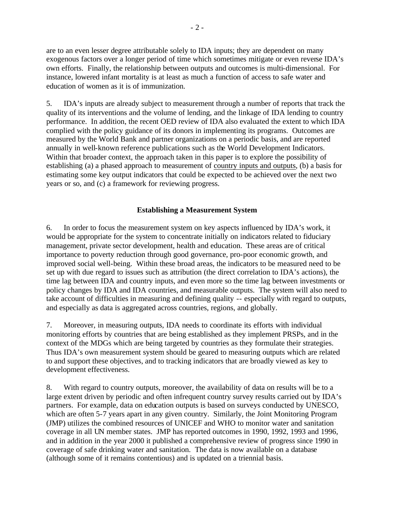are to an even lesser degree attributable solely to IDA inputs; they are dependent on many exogenous factors over a longer period of time which sometimes mitigate or even reverse IDA's own efforts. Finally, the relationship between outputs and outcomes is multi-dimensional. For instance, lowered infant mortality is at least as much a function of access to safe water and education of women as it is of immunization.

5. IDA's inputs are already subject to measurement through a number of reports that track the quality of its interventions and the volume of lending, and the linkage of IDA lending to country performance. In addition, the recent OED review of IDA also evaluated the extent to which IDA complied with the policy guidance of its donors in implementing its programs. Outcomes are measured by the World Bank and partner organizations on a periodic basis, and are reported annually in well-known reference publications such as the World Development Indicators. Within that broader context, the approach taken in this paper is to explore the possibility of establishing (a) a phased approach to measurement of country inputs and outputs, (b) a basis for estimating some key output indicators that could be expected to be achieved over the next two years or so, and (c) a framework for reviewing progress.

#### **Establishing a Measurement System**

6. In order to focus the measurement system on key aspects influenced by IDA's work, it would be appropriate for the system to concentrate initially on indicators related to fiduciary management, private sector development, health and education. These areas are of critical importance to poverty reduction through good governance, pro-poor economic growth, and improved social well-being. Within these broad areas, the indicators to be measured need to be set up with due regard to issues such as attribution (the direct correlation to IDA's actions), the time lag between IDA and country inputs, and even more so the time lag between investments or policy changes by IDA and IDA countries, and measurable outputs. The system will also need to take account of difficulties in measuring and defining quality -- especially with regard to outputs, and especially as data is aggregated across countries, regions, and globally.

7. Moreover, in measuring outputs, IDA needs to coordinate its efforts with individual monitoring efforts by countries that are being established as they implement PRSPs, and in the context of the MDGs which are being targeted by countries as they formulate their strategies. Thus IDA's own measurement system should be geared to measuring outputs which are related to and support these objectives, and to tracking indicators that are broadly viewed as key to development effectiveness.

8. With regard to country outputs, moreover, the availability of data on results will be to a large extent driven by periodic and often infrequent country survey results carried out by IDA's partners. For example, data on education outputs is based on surveys conducted by UNESCO, which are often 5-7 years apart in any given country. Similarly, the Joint Monitoring Program (JMP) utilizes the combined resources of UNICEF and WHO to monitor water and sanitation coverage in all UN member states. JMP has reported outcomes in 1990, 1992, 1993 and 1996, and in addition in the year 2000 it published a comprehensive review of progress since 1990 in coverage of safe drinking water and sanitation. The data is now available on a database (although some of it remains contentious) and is updated on a triennial basis.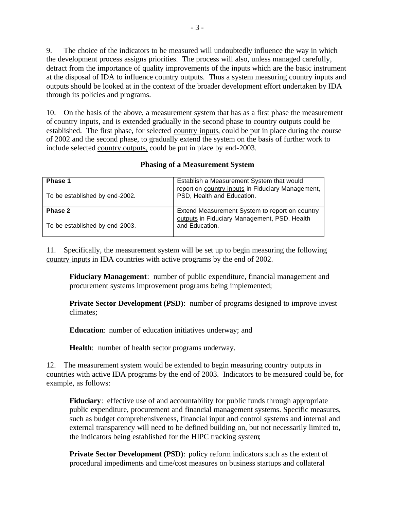9. The choice of the indicators to be measured will undoubtedly influence the way in which the development process assigns priorities. The process will also, unless managed carefully, detract from the importance of quality improvements of the inputs which are the basic instrument at the disposal of IDA to influence country outputs. Thus a system measuring country inputs and outputs should be looked at in the context of the broader development effort undertaken by IDA through its policies and programs.

10. On the basis of the above, a measurement system that has as a first phase the measurement of country inputs, and is extended gradually in the second phase to country outputs could be established. The first phase, for selected country inputs, could be put in place during the course of 2002 and the second phase, to gradually extend the system on the basis of further work to include selected country outputs, could be put in place by end-2003.

| Phase 1<br>To be established by end-2002. | Establish a Measurement System that would<br>report on country inputs in Fiduciary Management,<br>PSD, Health and Education. |
|-------------------------------------------|------------------------------------------------------------------------------------------------------------------------------|
| Phase 2<br>To be established by end-2003. | Extend Measurement System to report on country<br>outputs in Fiduciary Management, PSD, Health<br>and Education.             |

#### **Phasing of a Measurement System**

11. Specifically, the measurement system will be set up to begin measuring the following country inputs in IDA countries with active programs by the end of 2002.

**Fiduciary Management**: number of public expenditure, financial management and procurement systems improvement programs being implemented;

**Private Sector Development (PSD):** number of programs designed to improve invest climates;

**Education**: number of education initiatives underway; and

**Health**: number of health sector programs underway.

12. The measurement system would be extended to begin measuring country outputs in countries with active IDA programs by the end of 2003. Indicators to be measured could be, for example, as follows:

**Fiduciary**: effective use of and accountability for public funds through appropriate public expenditure, procurement and financial management systems. Specific measures, such as budget comprehensiveness, financial input and control systems and internal and external transparency will need to be defined building on, but not necessarily limited to, the indicators being established for the HIPC tracking system;

**Private Sector Development (PSD):** policy reform indicators such as the extent of procedural impediments and time/cost measures on business startups and collateral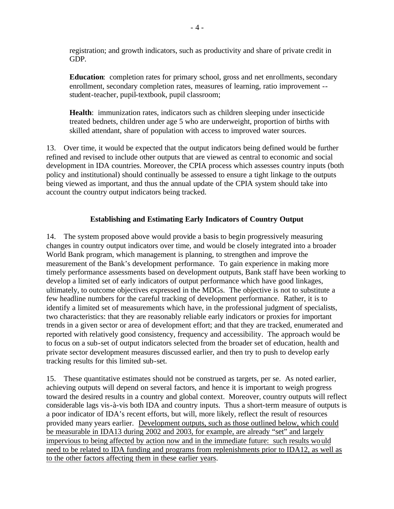registration; and growth indicators, such as productivity and share of private credit in GDP.

**Education**: completion rates for primary school, gross and net enrollments, secondary enrollment, secondary completion rates, measures of learning, ratio improvement - student-teacher, pupil-textbook, pupil classroom;

**Health**: immunization rates, indicators such as children sleeping under insecticide treated bednets, children under age 5 who are underweight, proportion of births with skilled attendant, share of population with access to improved water sources.

13. Over time, it would be expected that the output indicators being defined would be further refined and revised to include other outputs that are viewed as central to economic and social development in IDA countries. Moreover, the CPIA process which assesses country inputs (both policy and institutional) should continually be assessed to ensure a tight linkage to the outputs being viewed as important, and thus the annual update of the CPIA system should take into account the country output indicators being tracked.

## **Establishing and Estimating Early Indicators of Country Output**

14. The system proposed above would provide a basis to begin progressively measuring changes in country output indicators over time, and would be closely integrated into a broader World Bank program, which management is planning, to strengthen and improve the measurement of the Bank's development performance. To gain experience in making more timely performance assessments based on development outputs, Bank staff have been working to develop a limited set of early indicators of output performance which have good linkages, ultimately, to outcome objectives expressed in the MDGs. The objective is not to substitute a few headline numbers for the careful tracking of development performance. Rather, it is to identify a limited set of measurements which have, in the professional judgment of specialists, two characteristics: that they are reasonably reliable early indicators or proxies for important trends in a given sector or area of development effort; and that they are tracked, enumerated and reported with relatively good consistency, frequency and accessibility. The approach would be to focus on a sub-set of output indicators selected from the broader set of education, health and private sector development measures discussed earlier, and then try to push to develop early tracking results for this limited sub-set.

15. These quantitative estimates should not be construed as targets, per se. As noted earlier, achieving outputs will depend on several factors, and hence it is important to weigh progress toward the desired results in a country and global context. Moreover, country outputs will reflect considerable lags vis-à-vis both IDA and country inputs. Thus a short-term measure of outputs is a poor indicator of IDA's recent efforts, but will, more likely, reflect the result of resources provided many years earlier. Development outputs, such as those outlined below, which could be measurable in IDA13 during 2002 and 2003, for example, are already "set" and largely impervious to being affected by action now and in the immediate future: such results would need to be related to IDA funding and programs from replenishments prior to IDA12, as well as to the other factors affecting them in these earlier years.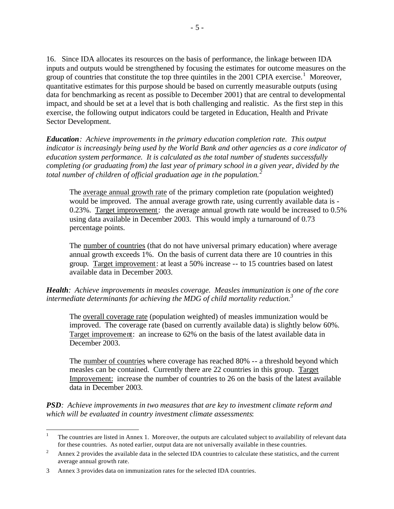16. Since IDA allocates its resources on the basis of performance, the linkage between IDA inputs and outputs would be strengthened by focusing the estimates for outcome measures on the group of countries that constitute the top three quintiles in the 2001 CPIA exercise.<sup>1</sup> Moreover, quantitative estimates for this purpose should be based on currently measurable outputs (using data for benchmarking as recent as possible to December 2001) that are central to developmental impact, and should be set at a level that is both challenging and realistic. As the first step in this exercise, the following output indicators could be targeted in Education, Health and Private Sector Development.

*Education: Achieve improvements in the primary education completion rate. This output indicator is increasingly being used by the World Bank and other agencies as a core indicator of education system performance. It is calculated as the total number of students successfully completing (or graduating from) the last year of primary school in a given year, divided by the total number of children of official graduation age in the population.<sup>2</sup>*

The average annual growth rate of the primary completion rate (population weighted) would be improved. The annual average growth rate, using currently available data is - 0.23%. Target improvement: the average annual growth rate would be increased to 0.5% using data available in December 2003. This would imply a turnaround of 0.73 percentage points.

The number of countries (that do not have universal primary education) where average annual growth exceeds 1%. On the basis of current data there are 10 countries in this group. Target improvement: at least a 50% increase -- to 15 countries based on latest available data in December 2003.

*Health: Achieve improvements in measles coverage. Measles immunization is one of the core intermediate determinants for achieving the MDG of child mortality reduction. 3*

The overall coverage rate (population weighted) of measles immunization would be improved. The coverage rate (based on currently available data) is slightly below 60%. Target improvement: an increase to 62% on the basis of the latest available data in December 2003.

The number of countries where coverage has reached 80% -- a threshold beyond which measles can be contained. Currently there are 22 countries in this group. Target Improvement: increase the number of countries to 26 on the basis of the latest available data in December 2003.

*PSD: Achieve improvements in two measures that are key to investment climate reform and which will be evaluated in country investment climate assessments*:

 $\frac{1}{1}$ The countries are listed in Annex 1. Moreover, the outputs are calculated subject to availability of relevant data for these countries. As noted earlier, output data are not universally available in these countries.

<sup>&</sup>lt;sup>2</sup> Annex 2 provides the available data in the selected IDA countries to calculate these statistics, and the current average annual growth rate.

<sup>3</sup> Annex 3 provides data on immunization rates for the selected IDA countries.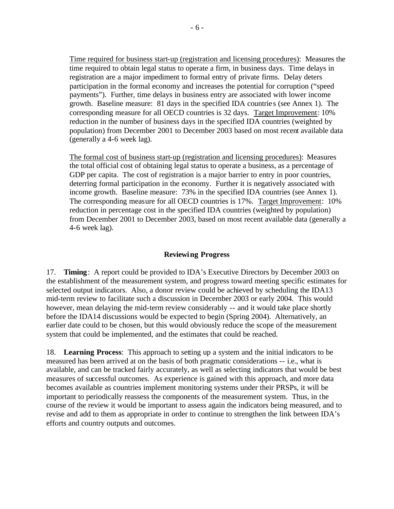Time required for business start-up (registration and licensing procedures): Measures the time required to obtain legal status to operate a firm, in business days. Time delays in registration are a major impediment to formal entry of private firms. Delay deters participation in the formal economy and increases the potential for corruption ("speed payments"). Further, time delays in business entry are associated with lower income growth. Baseline measure: 81 days in the specified IDA countrie s (see Annex 1). The corresponding measure for all OECD countries is 32 days. Target Improvement: 10% reduction in the number of business days in the specified IDA countries (weighted by population) from December 2001 to December 2003 based on most recent available data (generally a 4-6 week lag).

The formal cost of business start-up (registration and licensing procedures):Measures the total official cost of obtaining legal status to operate a business, as a percentage of GDP per capita. The cost of registration is a major barrier to entry in poor countries, deterring formal participation in the economy. Further it is negatively associated with income growth. Baseline measure: 73% in the specified IDA countries (see Annex 1). The corresponding measure for all OECD countries is 17%. Target Improvement: 10% reduction in percentage cost in the specified IDA countries (weighted by population) from December 2001 to December 2003, based on most recent available data (generally a 4-6 week lag).

#### **Reviewing Progress**

17. **Timing**: A report could be provided to IDA's Executive Directors by December 2003 on the establishment of the measurement system, and progress toward meeting specific estimates for selected output indicators. Also, a donor review could be achieved by scheduling the IDA13 mid-term review to facilitate such a discussion in December 2003 or early 2004. This would however, mean delaying the mid-term review considerably -- and it would take place shortly before the IDA14 discussions would be expected to begin (Spring 2004). Alternatively, an earlier date could to be chosen, but this would obviously reduce the scope of the measurement system that could be implemented, and the estimates that could be reached.

18. **Learning Process**: This approach to setting up a system and the initial indicators to be measured has been arrived at on the basis of both pragmatic considerations -- i.e., what is available, and can be tracked fairly accurately, as well as selecting indicators that would be best measures of successful outcomes. As experience is gained with this approach, and more data becomes available as countries implement monitoring systems under their PRSPs, it will be important to periodically reassess the components of the measurement system. Thus, in the course of the review it would be important to assess again the indicators being measured, and to revise and add to them as appropriate in order to continue to strengthen the link between IDA's efforts and country outputs and outcomes.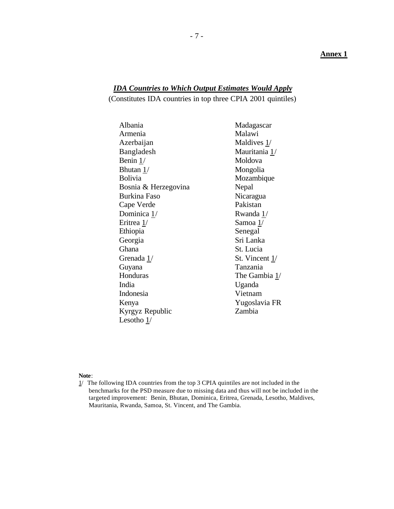#### **Annex 1**

## *IDA Countries to Which Output Estimates Would Apply*

(Constitutes IDA countries in top three CPIA 2001 quintiles)

| Malawi<br>Maldives 1/<br>Mauritania 1/ |
|----------------------------------------|
|                                        |
|                                        |
|                                        |
| Moldova                                |
| Mongolia                               |
| Mozambique                             |
| Nepal                                  |
| Nicaragua                              |
| Pakistan                               |
| Rwanda 1/                              |
| Samoa 1/                               |
| Senegal                                |
| Sri Lanka                              |
| St. Lucia                              |
| St. Vincent 1/                         |
| Tanzania                               |
| The Gambia 1/                          |
| Uganda                                 |
| Vietnam                                |
| Yugoslavia FR                          |
| Zambia                                 |
|                                        |
|                                        |

#### **Note**:

 $1/$  The following IDA countries from the top 3 CPIA quintiles are not included in the benchmarks for the PSD measure due to missing data and thus will not be included in the targeted improvement: Benin, Bhutan, Dominica, Eritrea, Grenada, Lesotho, Maldives, Mauritania, Rwanda, Samoa, St. Vincent, and The Gambia.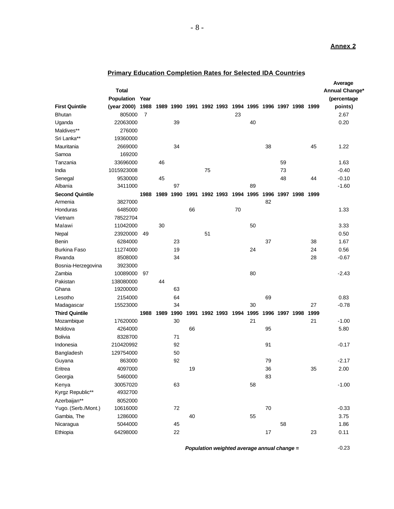#### **Annex 2**

| Population<br>(percentage<br>Year<br>(year 2000)<br>1988<br>1989 1990 1991 1992 1993 1994 1995 1996 1997 1998 1999<br>points)<br>805000<br>23<br>2.67<br>7<br>39<br>22063000<br>40<br>0.20<br>276000<br>19360000<br>34<br>38<br>2669000<br>45<br>1.22<br>169200<br>33696000<br>46<br>59<br>1.63<br>1015923008<br>73<br>$-0.40$<br>75<br>$-0.10$<br>9530000<br>45<br>48<br>44<br>89<br>$-1.60$<br>3411000<br>97<br>1990<br>1994 1995<br>1989<br>1991 1992 1993<br>1996<br>1997 1998 1999<br>1988<br>3827000<br>82<br>66<br>70<br>1.33<br>6485000<br>78522704<br>30<br>50<br>11042000<br>3.33<br>23920000<br>51<br>0.50<br>Nepal<br>49<br>6284000<br>37<br>1.67<br>23<br>38<br>24<br>0.56<br>11274000<br>19<br>24<br>34<br>28<br>$-0.67$<br>8508000<br>Bosnia-Herzegovina<br>3923000<br>80<br>$-2.43$<br>10089000<br>97<br>138080000<br>44<br>19200000<br>63<br>2154000<br>69<br>0.83<br>64<br>34<br>30<br>27<br>$-0.78$<br>Madagascar<br>15523000<br>1995<br>1989<br>1990<br>1991<br>1992 1993<br>1994<br>1996 1997 1998<br>1999<br>1988<br>21<br>$-1.00$<br>17620000<br>30<br>21<br>5.80<br>4264000<br>66<br>95<br>8328700<br>71<br>210420992<br>92<br>$-0.17$<br>91<br>50<br>Bangladesh<br>129754000<br>863000<br>92<br>$-2.17$<br>79<br>36<br>Eritrea<br>4097000<br>19<br>35<br>2.00<br>Georgia<br>5460000<br>83<br>Kenya<br>63<br>$-1.00$<br>30057020<br>58<br>Kyrgz Republic**<br>4932700<br>Azerbaijan**<br>8052000<br>Yugo. (Serb./Mont.)<br>10616000<br>$72\,$<br>$70\,$<br>$-0.33$<br>Gambia, The<br>1286000<br>40<br>55<br>3.75<br>Nicaragua<br>5044000<br>1.86<br>45<br>58<br>64298000<br>0.11<br>22<br>$17$<br>23 |                        |       |  |  |  |  |  |  | Average        |
|------------------------------------------------------------------------------------------------------------------------------------------------------------------------------------------------------------------------------------------------------------------------------------------------------------------------------------------------------------------------------------------------------------------------------------------------------------------------------------------------------------------------------------------------------------------------------------------------------------------------------------------------------------------------------------------------------------------------------------------------------------------------------------------------------------------------------------------------------------------------------------------------------------------------------------------------------------------------------------------------------------------------------------------------------------------------------------------------------------------------------------------------------------------------------------------------------------------------------------------------------------------------------------------------------------------------------------------------------------------------------------------------------------------------------------------------------------------------------------------------------------------------------------------------------------------------------------------------------------------------------|------------------------|-------|--|--|--|--|--|--|----------------|
|                                                                                                                                                                                                                                                                                                                                                                                                                                                                                                                                                                                                                                                                                                                                                                                                                                                                                                                                                                                                                                                                                                                                                                                                                                                                                                                                                                                                                                                                                                                                                                                                                              |                        | Total |  |  |  |  |  |  | Annual Change* |
|                                                                                                                                                                                                                                                                                                                                                                                                                                                                                                                                                                                                                                                                                                                                                                                                                                                                                                                                                                                                                                                                                                                                                                                                                                                                                                                                                                                                                                                                                                                                                                                                                              |                        |       |  |  |  |  |  |  |                |
|                                                                                                                                                                                                                                                                                                                                                                                                                                                                                                                                                                                                                                                                                                                                                                                                                                                                                                                                                                                                                                                                                                                                                                                                                                                                                                                                                                                                                                                                                                                                                                                                                              | <b>First Quintile</b>  |       |  |  |  |  |  |  |                |
|                                                                                                                                                                                                                                                                                                                                                                                                                                                                                                                                                                                                                                                                                                                                                                                                                                                                                                                                                                                                                                                                                                                                                                                                                                                                                                                                                                                                                                                                                                                                                                                                                              | <b>Bhutan</b>          |       |  |  |  |  |  |  |                |
|                                                                                                                                                                                                                                                                                                                                                                                                                                                                                                                                                                                                                                                                                                                                                                                                                                                                                                                                                                                                                                                                                                                                                                                                                                                                                                                                                                                                                                                                                                                                                                                                                              | Uganda                 |       |  |  |  |  |  |  |                |
|                                                                                                                                                                                                                                                                                                                                                                                                                                                                                                                                                                                                                                                                                                                                                                                                                                                                                                                                                                                                                                                                                                                                                                                                                                                                                                                                                                                                                                                                                                                                                                                                                              | Maldives**             |       |  |  |  |  |  |  |                |
|                                                                                                                                                                                                                                                                                                                                                                                                                                                                                                                                                                                                                                                                                                                                                                                                                                                                                                                                                                                                                                                                                                                                                                                                                                                                                                                                                                                                                                                                                                                                                                                                                              | Sri Lanka**            |       |  |  |  |  |  |  |                |
|                                                                                                                                                                                                                                                                                                                                                                                                                                                                                                                                                                                                                                                                                                                                                                                                                                                                                                                                                                                                                                                                                                                                                                                                                                                                                                                                                                                                                                                                                                                                                                                                                              | Mauritania             |       |  |  |  |  |  |  |                |
|                                                                                                                                                                                                                                                                                                                                                                                                                                                                                                                                                                                                                                                                                                                                                                                                                                                                                                                                                                                                                                                                                                                                                                                                                                                                                                                                                                                                                                                                                                                                                                                                                              | Samoa                  |       |  |  |  |  |  |  |                |
|                                                                                                                                                                                                                                                                                                                                                                                                                                                                                                                                                                                                                                                                                                                                                                                                                                                                                                                                                                                                                                                                                                                                                                                                                                                                                                                                                                                                                                                                                                                                                                                                                              | Tanzania               |       |  |  |  |  |  |  |                |
|                                                                                                                                                                                                                                                                                                                                                                                                                                                                                                                                                                                                                                                                                                                                                                                                                                                                                                                                                                                                                                                                                                                                                                                                                                                                                                                                                                                                                                                                                                                                                                                                                              | India                  |       |  |  |  |  |  |  |                |
|                                                                                                                                                                                                                                                                                                                                                                                                                                                                                                                                                                                                                                                                                                                                                                                                                                                                                                                                                                                                                                                                                                                                                                                                                                                                                                                                                                                                                                                                                                                                                                                                                              | Senegal                |       |  |  |  |  |  |  |                |
|                                                                                                                                                                                                                                                                                                                                                                                                                                                                                                                                                                                                                                                                                                                                                                                                                                                                                                                                                                                                                                                                                                                                                                                                                                                                                                                                                                                                                                                                                                                                                                                                                              | Albania                |       |  |  |  |  |  |  |                |
|                                                                                                                                                                                                                                                                                                                                                                                                                                                                                                                                                                                                                                                                                                                                                                                                                                                                                                                                                                                                                                                                                                                                                                                                                                                                                                                                                                                                                                                                                                                                                                                                                              | <b>Second Quintile</b> |       |  |  |  |  |  |  |                |
|                                                                                                                                                                                                                                                                                                                                                                                                                                                                                                                                                                                                                                                                                                                                                                                                                                                                                                                                                                                                                                                                                                                                                                                                                                                                                                                                                                                                                                                                                                                                                                                                                              | Armenia                |       |  |  |  |  |  |  |                |
|                                                                                                                                                                                                                                                                                                                                                                                                                                                                                                                                                                                                                                                                                                                                                                                                                                                                                                                                                                                                                                                                                                                                                                                                                                                                                                                                                                                                                                                                                                                                                                                                                              | Honduras               |       |  |  |  |  |  |  |                |
|                                                                                                                                                                                                                                                                                                                                                                                                                                                                                                                                                                                                                                                                                                                                                                                                                                                                                                                                                                                                                                                                                                                                                                                                                                                                                                                                                                                                                                                                                                                                                                                                                              | Vietnam                |       |  |  |  |  |  |  |                |
|                                                                                                                                                                                                                                                                                                                                                                                                                                                                                                                                                                                                                                                                                                                                                                                                                                                                                                                                                                                                                                                                                                                                                                                                                                                                                                                                                                                                                                                                                                                                                                                                                              | Malawi                 |       |  |  |  |  |  |  |                |
|                                                                                                                                                                                                                                                                                                                                                                                                                                                                                                                                                                                                                                                                                                                                                                                                                                                                                                                                                                                                                                                                                                                                                                                                                                                                                                                                                                                                                                                                                                                                                                                                                              |                        |       |  |  |  |  |  |  |                |
|                                                                                                                                                                                                                                                                                                                                                                                                                                                                                                                                                                                                                                                                                                                                                                                                                                                                                                                                                                                                                                                                                                                                                                                                                                                                                                                                                                                                                                                                                                                                                                                                                              | Benin                  |       |  |  |  |  |  |  |                |
|                                                                                                                                                                                                                                                                                                                                                                                                                                                                                                                                                                                                                                                                                                                                                                                                                                                                                                                                                                                                                                                                                                                                                                                                                                                                                                                                                                                                                                                                                                                                                                                                                              | <b>Burkina Faso</b>    |       |  |  |  |  |  |  |                |
|                                                                                                                                                                                                                                                                                                                                                                                                                                                                                                                                                                                                                                                                                                                                                                                                                                                                                                                                                                                                                                                                                                                                                                                                                                                                                                                                                                                                                                                                                                                                                                                                                              | Rwanda                 |       |  |  |  |  |  |  |                |
|                                                                                                                                                                                                                                                                                                                                                                                                                                                                                                                                                                                                                                                                                                                                                                                                                                                                                                                                                                                                                                                                                                                                                                                                                                                                                                                                                                                                                                                                                                                                                                                                                              |                        |       |  |  |  |  |  |  |                |
|                                                                                                                                                                                                                                                                                                                                                                                                                                                                                                                                                                                                                                                                                                                                                                                                                                                                                                                                                                                                                                                                                                                                                                                                                                                                                                                                                                                                                                                                                                                                                                                                                              | Zambia                 |       |  |  |  |  |  |  |                |
|                                                                                                                                                                                                                                                                                                                                                                                                                                                                                                                                                                                                                                                                                                                                                                                                                                                                                                                                                                                                                                                                                                                                                                                                                                                                                                                                                                                                                                                                                                                                                                                                                              | Pakistan               |       |  |  |  |  |  |  |                |
|                                                                                                                                                                                                                                                                                                                                                                                                                                                                                                                                                                                                                                                                                                                                                                                                                                                                                                                                                                                                                                                                                                                                                                                                                                                                                                                                                                                                                                                                                                                                                                                                                              | Ghana                  |       |  |  |  |  |  |  |                |
|                                                                                                                                                                                                                                                                                                                                                                                                                                                                                                                                                                                                                                                                                                                                                                                                                                                                                                                                                                                                                                                                                                                                                                                                                                                                                                                                                                                                                                                                                                                                                                                                                              | Lesotho                |       |  |  |  |  |  |  |                |
|                                                                                                                                                                                                                                                                                                                                                                                                                                                                                                                                                                                                                                                                                                                                                                                                                                                                                                                                                                                                                                                                                                                                                                                                                                                                                                                                                                                                                                                                                                                                                                                                                              |                        |       |  |  |  |  |  |  |                |
|                                                                                                                                                                                                                                                                                                                                                                                                                                                                                                                                                                                                                                                                                                                                                                                                                                                                                                                                                                                                                                                                                                                                                                                                                                                                                                                                                                                                                                                                                                                                                                                                                              | <b>Third Quintile</b>  |       |  |  |  |  |  |  |                |
|                                                                                                                                                                                                                                                                                                                                                                                                                                                                                                                                                                                                                                                                                                                                                                                                                                                                                                                                                                                                                                                                                                                                                                                                                                                                                                                                                                                                                                                                                                                                                                                                                              | Mozambique             |       |  |  |  |  |  |  |                |
|                                                                                                                                                                                                                                                                                                                                                                                                                                                                                                                                                                                                                                                                                                                                                                                                                                                                                                                                                                                                                                                                                                                                                                                                                                                                                                                                                                                                                                                                                                                                                                                                                              | Moldova                |       |  |  |  |  |  |  |                |
|                                                                                                                                                                                                                                                                                                                                                                                                                                                                                                                                                                                                                                                                                                                                                                                                                                                                                                                                                                                                                                                                                                                                                                                                                                                                                                                                                                                                                                                                                                                                                                                                                              | Bolivia                |       |  |  |  |  |  |  |                |
|                                                                                                                                                                                                                                                                                                                                                                                                                                                                                                                                                                                                                                                                                                                                                                                                                                                                                                                                                                                                                                                                                                                                                                                                                                                                                                                                                                                                                                                                                                                                                                                                                              | Indonesia              |       |  |  |  |  |  |  |                |
|                                                                                                                                                                                                                                                                                                                                                                                                                                                                                                                                                                                                                                                                                                                                                                                                                                                                                                                                                                                                                                                                                                                                                                                                                                                                                                                                                                                                                                                                                                                                                                                                                              |                        |       |  |  |  |  |  |  |                |
|                                                                                                                                                                                                                                                                                                                                                                                                                                                                                                                                                                                                                                                                                                                                                                                                                                                                                                                                                                                                                                                                                                                                                                                                                                                                                                                                                                                                                                                                                                                                                                                                                              | Guyana                 |       |  |  |  |  |  |  |                |
|                                                                                                                                                                                                                                                                                                                                                                                                                                                                                                                                                                                                                                                                                                                                                                                                                                                                                                                                                                                                                                                                                                                                                                                                                                                                                                                                                                                                                                                                                                                                                                                                                              |                        |       |  |  |  |  |  |  |                |
|                                                                                                                                                                                                                                                                                                                                                                                                                                                                                                                                                                                                                                                                                                                                                                                                                                                                                                                                                                                                                                                                                                                                                                                                                                                                                                                                                                                                                                                                                                                                                                                                                              |                        |       |  |  |  |  |  |  |                |
|                                                                                                                                                                                                                                                                                                                                                                                                                                                                                                                                                                                                                                                                                                                                                                                                                                                                                                                                                                                                                                                                                                                                                                                                                                                                                                                                                                                                                                                                                                                                                                                                                              |                        |       |  |  |  |  |  |  |                |
|                                                                                                                                                                                                                                                                                                                                                                                                                                                                                                                                                                                                                                                                                                                                                                                                                                                                                                                                                                                                                                                                                                                                                                                                                                                                                                                                                                                                                                                                                                                                                                                                                              |                        |       |  |  |  |  |  |  |                |
|                                                                                                                                                                                                                                                                                                                                                                                                                                                                                                                                                                                                                                                                                                                                                                                                                                                                                                                                                                                                                                                                                                                                                                                                                                                                                                                                                                                                                                                                                                                                                                                                                              |                        |       |  |  |  |  |  |  |                |
|                                                                                                                                                                                                                                                                                                                                                                                                                                                                                                                                                                                                                                                                                                                                                                                                                                                                                                                                                                                                                                                                                                                                                                                                                                                                                                                                                                                                                                                                                                                                                                                                                              |                        |       |  |  |  |  |  |  |                |
|                                                                                                                                                                                                                                                                                                                                                                                                                                                                                                                                                                                                                                                                                                                                                                                                                                                                                                                                                                                                                                                                                                                                                                                                                                                                                                                                                                                                                                                                                                                                                                                                                              |                        |       |  |  |  |  |  |  |                |
|                                                                                                                                                                                                                                                                                                                                                                                                                                                                                                                                                                                                                                                                                                                                                                                                                                                                                                                                                                                                                                                                                                                                                                                                                                                                                                                                                                                                                                                                                                                                                                                                                              |                        |       |  |  |  |  |  |  |                |
|                                                                                                                                                                                                                                                                                                                                                                                                                                                                                                                                                                                                                                                                                                                                                                                                                                                                                                                                                                                                                                                                                                                                                                                                                                                                                                                                                                                                                                                                                                                                                                                                                              | Ethiopia               |       |  |  |  |  |  |  |                |

## **Primary Education Completion Rates for Selected IDA Countries**

*Population weighted average annual change =* -0.23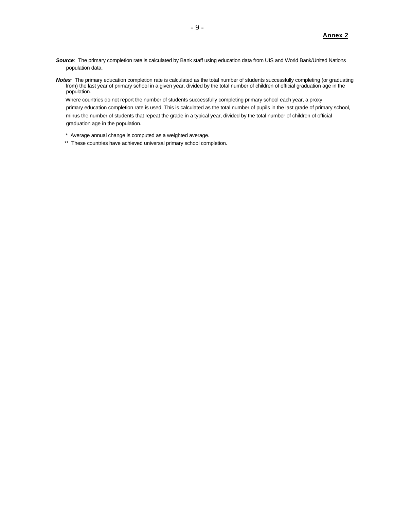- *Source:* The primary completion rate is calculated by Bank staff using education data from UIS and World Bank/United Nations population data.
- *Notes:*The primary education completion rate is calculated as the total number of students successfully completing (or graduating from) the last year of primary school in a given year, divided by the total number of children of official graduation age in the population.

 Where countries do not report the number of students successfully completing primary school each year, a proxy primary education completion rate is used. This is calculated as the total number of pupils in the last grade of primary school, minus the number of students that repeat the grade in a typical year, divided by the total number of children of official graduation age in the population.

- \* Average annual change is computed as a weighted average.
- \*\* These countries have achieved universal primary school completion.